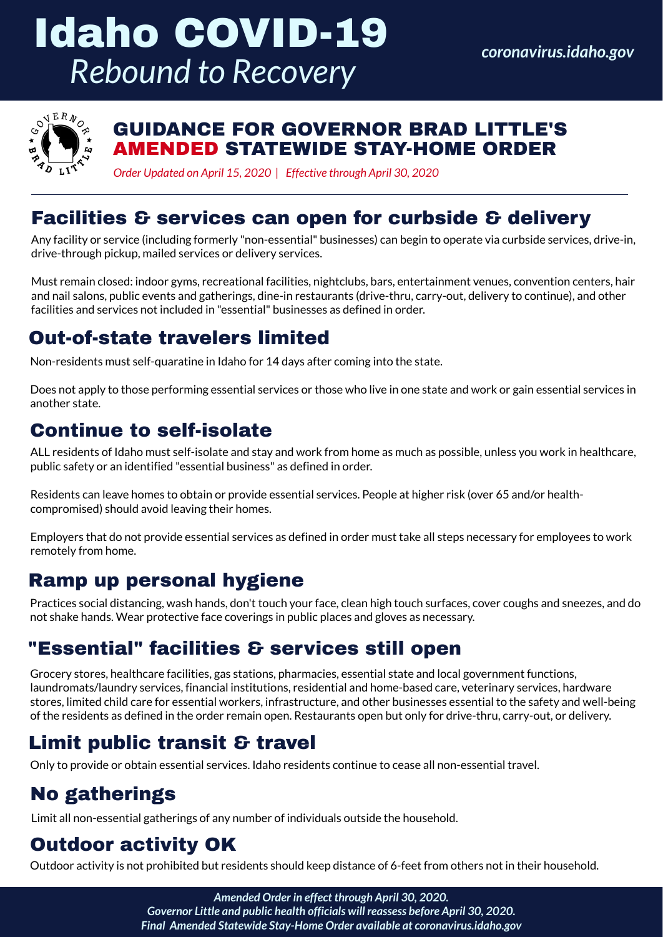#### GUIDANCE FOR GOVERNOR BRAD LITTLE'S AMENDED STATEWIDE STAY-HOME ORDER

ALL residents of Idaho must self-isolate and stay and work from home as much as possible, unless you work in healthcare, public safety or an identified "essential business" as defined in order.

Residents can leave homes to obtain or provide essential services. People at higher risk (over 65 and/or healthcompromised) should avoid leaving their homes.

Employers that do not provide essential services as defined in order must take all steps necessary for employees to work remotely from home.

*coronavirus.idaho.gov*



#### Continue to self-isolate

## "Essential" facilities & services still open

Grocery stores, healthcare facilities, gas stations, pharmacies, essential state and local government functions, laundromats/laundry services, financial institutions, residential and home-based care, veterinary services, hardware stores, limited child care for essential workers, infrastructure, and other businesses essential to the safety and well-being of the residents as defined in the order remain open. Restaurants open but only for drive-thru, carry-out, or delivery.

Any facility or service (including formerly "non-essential" businesses) can begin to operate via curbside services, drive-in, drive-through pickup, mailed services or delivery services.

# Idaho COVID-19 *Rebound to Recovery*

Must remain closed: indoor gyms, recreational facilities, nightclubs, bars, entertainment venues, convention centers, hair and nail salons, public events and gatherings, dine-in restaurants (drive-thru, carry-out, delivery to continue), and other facilities and services not included in "essential" businesses as defined in order.

## No gatherings

#### Out-of-state travelers limited

## Limit public transit & travel

Only to provide or obtain essential services. Idaho residents continue to cease all non-essential travel.

Non-residents must self-quaratine in Idaho for 14 days after coming into the state.

Does not apply to those performing essential services or those who live in one state and work or gain essential services in another state.

Limit all non-essential gatherings of any number of individuals outside the household.

## Outdoor activity OK

Outdoor activity is not prohibited but residents should keep distance of 6-feet from others not in their household.

Practices social distancing, wash hands, don't touch your face, clean high touch surfaces, cover coughs and sneezes, and do not shake hands. Wear protective face coverings in public places and gloves as necessary.

#### Ramp up personal hygiene

*Amended Order in effect through April 30, 2020. Governor Little and public health officials will reassess before April 30, 2020. Final Amended Statewide Stay-Home Order available at coronavirus.idaho.gov*

*Order Updated on April 15, 2020 | Effective through April 30, 2020*

#### Facilities & services can open for curbside & delivery